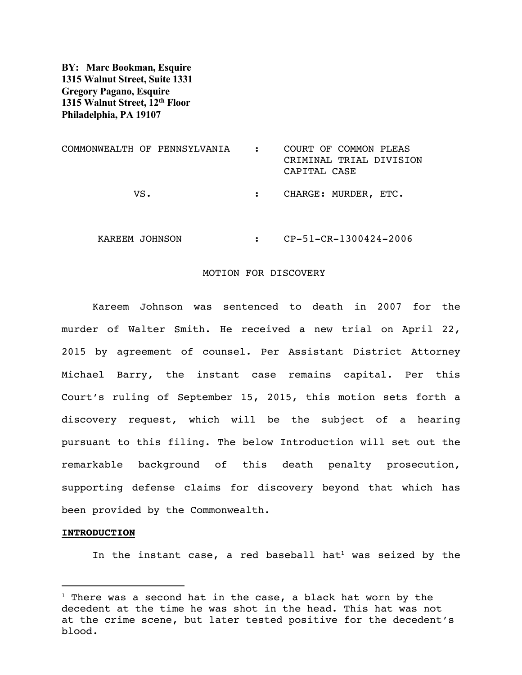**BY: Marc Bookman, Esquire 1315 Walnut Street, Suite 1331 Gregory Pagano, Esquire 1315 Walnut Street, 12th Floor Philadelphia, PA 19107**

| COMMONWEALTH OF PENNSYLVANIA | COURT OF COMMON PLEAS<br>CRIMINAL TRIAL DIVISION<br>CAPITAL CASE |
|------------------------------|------------------------------------------------------------------|
| VS.                          | CHARGE: MURDER, ETC.                                             |
| KAREEM JOHNSON               | CP-51-CR-1300424-2006                                            |

## MOTION FOR DISCOVERY

 Kareem Johnson was sentenced to death in 2007 for the murder of Walter Smith. He received a new trial on April 22, 2015 by agreement of counsel. Per Assistant District Attorney Michael Barry, the instant case remains capital. Per this Court's ruling of September 15, 2015, this motion sets forth a discovery request, which will be the subject of a hearing pursuant to this filing. The below Introduction will set out the remarkable background of this death penalty prosecution, supporting defense claims for discovery beyond that which has been provided by the Commonwealth.

## **INTRODUCTION**

In the instant case, a red baseball hat<sup>1</sup> was seized by the

 $1$  There was a second hat in the case, a black hat worn by the decedent at the time he was shot in the head. This hat was not at the crime scene, but later tested positive for the decedent's blood.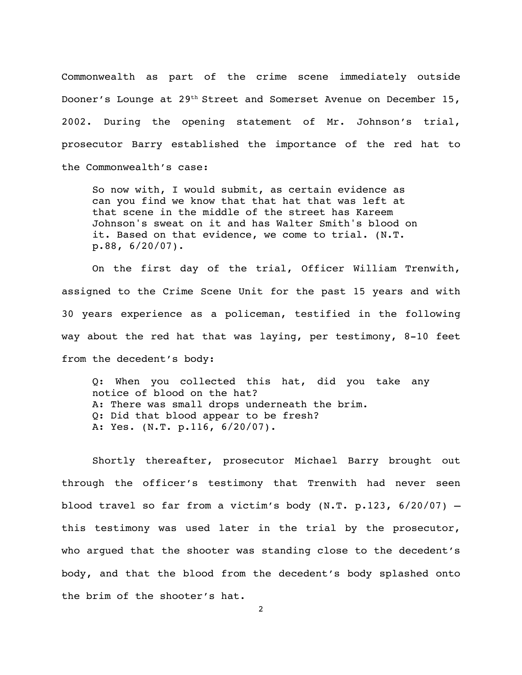Commonwealth as part of the crime scene immediately outside Dooner's Lounge at 29<sup>th</sup> Street and Somerset Avenue on December 15, 2002. During the opening statement of Mr. Johnson's trial, prosecutor Barry established the importance of the red hat to the Commonwealth's case:

So now with, I would submit, as certain evidence as can you find we know that that hat that was left at that scene in the middle of the street has Kareem Johnson's sweat on it and has Walter Smith's blood on it. Based on that evidence, we come to trial. (N.T. p.88, 6/20/07).

 On the first day of the trial, Officer William Trenwith, assigned to the Crime Scene Unit for the past 15 years and with 30 years experience as a policeman, testified in the following way about the red hat that was laying, per testimony, 8-10 feet from the decedent's body:

Q: When you collected this hat, did you take any notice of blood on the hat? A: There was small drops underneath the brim. Q: Did that blood appear to be fresh? A: Yes. (N.T. p.116, 6/20/07).

 Shortly thereafter, prosecutor Michael Barry brought out through the officer's testimony that Trenwith had never seen blood travel so far from a victim's body (N.T. p.123, 6/20/07) – this testimony was used later in the trial by the prosecutor, who argued that the shooter was standing close to the decedent's body, and that the blood from the decedent's body splashed onto the brim of the shooter's hat.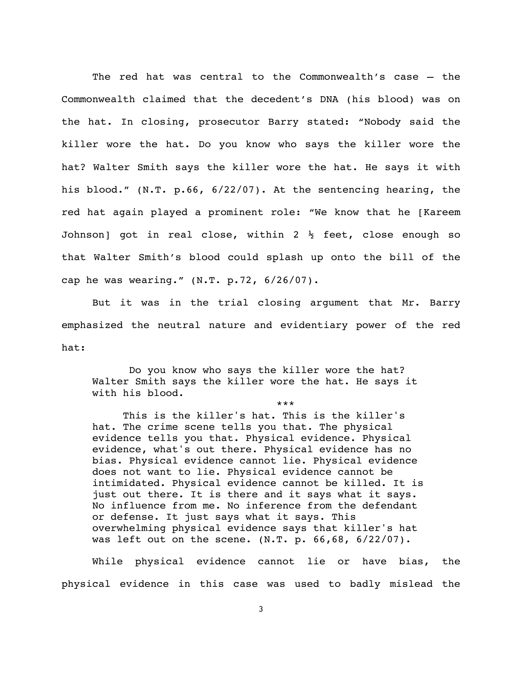The red hat was central to the Commonwealth's case – the Commonwealth claimed that the decedent's DNA (his blood) was on the hat. In closing, prosecutor Barry stated: "Nobody said the killer wore the hat. Do you know who says the killer wore the hat? Walter Smith says the killer wore the hat. He says it with his blood." (N.T. p.66, 6/22/07). At the sentencing hearing, the red hat again played a prominent role: "We know that he [Kareem Johnson] got in real close, within 2  $\frac{1}{2}$  feet, close enough so that Walter Smith's blood could splash up onto the bill of the cap he was wearing." (N.T. p.72, 6/26/07).

 But it was in the trial closing argument that Mr. Barry emphasized the neutral nature and evidentiary power of the red hat:

 Do you know who says the killer wore the hat? Walter Smith says the killer wore the hat. He says it with his blood.

\*\*\*

 This is the killer's hat. This is the killer's hat. The crime scene tells you that. The physical evidence tells you that. Physical evidence. Physical evidence, what's out there. Physical evidence has no bias. Physical evidence cannot lie. Physical evidence does not want to lie. Physical evidence cannot be intimidated. Physical evidence cannot be killed. It is just out there. It is there and it says what it says. No influence from me. No inference from the defendant or defense. It just says what it says. This overwhelming physical evidence says that killer's hat was left out on the scene. (N.T. p. 66,68, 6/22/07).

 While physical evidence cannot lie or have bias, the physical evidence in this case was used to badly mislead the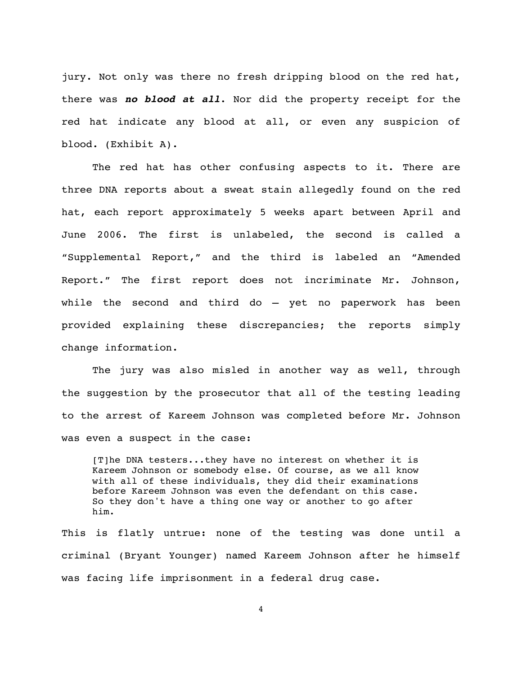jury. Not only was there no fresh dripping blood on the red hat, there was *no blood at all*. Nor did the property receipt for the red hat indicate any blood at all, or even any suspicion of blood. (Exhibit A).

 The red hat has other confusing aspects to it. There are three DNA reports about a sweat stain allegedly found on the red hat, each report approximately 5 weeks apart between April and June 2006. The first is unlabeled, the second is called a "Supplemental Report," and the third is labeled an "Amended Report." The first report does not incriminate Mr. Johnson, while the second and third do – yet no paperwork has been provided explaining these discrepancies; the reports simply change information.

 The jury was also misled in another way as well, through the suggestion by the prosecutor that all of the testing leading to the arrest of Kareem Johnson was completed before Mr. Johnson was even a suspect in the case:

[T]he DNA testers...they have no interest on whether it is Kareem Johnson or somebody else. Of course, as we all know with all of these individuals, they did their examinations before Kareem Johnson was even the defendant on this case. So they don't have a thing one way or another to go after him.

This is flatly untrue: none of the testing was done until a criminal (Bryant Younger) named Kareem Johnson after he himself was facing life imprisonment in a federal drug case.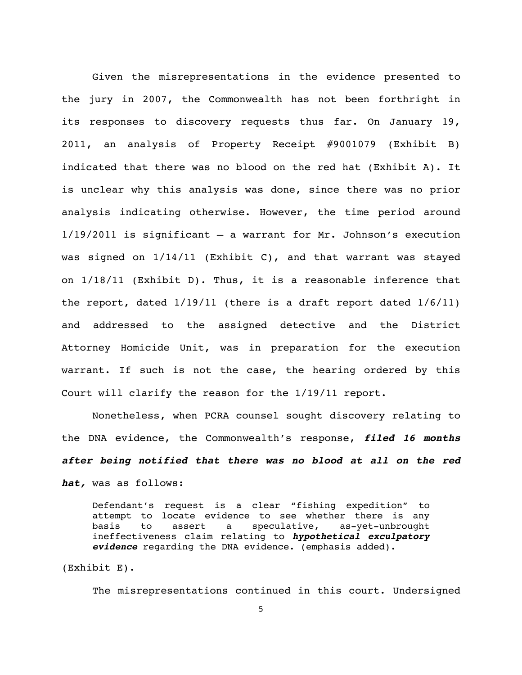Given the misrepresentations in the evidence presented to the jury in 2007, the Commonwealth has not been forthright in its responses to discovery requests thus far. On January 19, 2011, an analysis of Property Receipt #9001079 (Exhibit B) indicated that there was no blood on the red hat (Exhibit A). It is unclear why this analysis was done, since there was no prior analysis indicating otherwise. However, the time period around 1/19/2011 is significant – a warrant for Mr. Johnson's execution was signed on  $1/14/11$  (Exhibit C), and that warrant was stayed on 1/18/11 (Exhibit D). Thus, it is a reasonable inference that the report, dated 1/19/11 (there is a draft report dated 1/6/11) and addressed to the assigned detective and the District Attorney Homicide Unit, was in preparation for the execution warrant. If such is not the case, the hearing ordered by this Court will clarify the reason for the 1/19/11 report.

 Nonetheless, when PCRA counsel sought discovery relating to the DNA evidence, the Commonwealth's response, *filed 16 months after being notified that there was no blood at all on the red hat,* was as follows:

Defendant's request is a clear "fishing expedition" to attempt to locate evidence to see whether there is any basis to assert a speculative, as-yet-unbrought ineffectiveness claim relating to *hypothetical exculpatory evidence* regarding the DNA evidence. (emphasis added).

(Exhibit E).

The misrepresentations continued in this court. Undersigned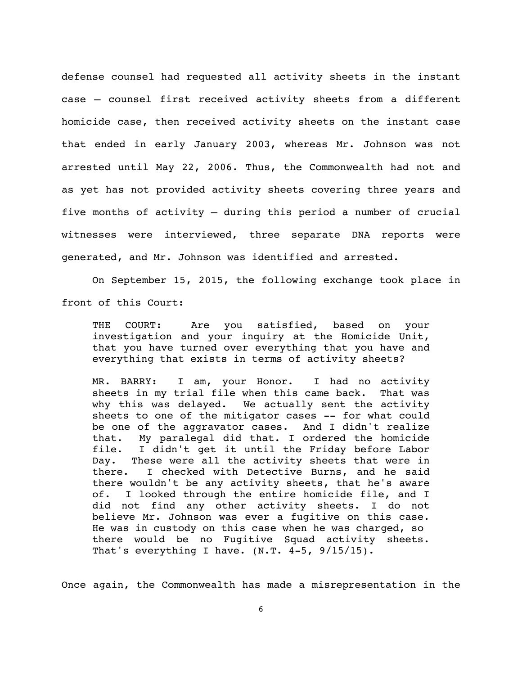defense counsel had requested all activity sheets in the instant case – counsel first received activity sheets from a different homicide case, then received activity sheets on the instant case that ended in early January 2003, whereas Mr. Johnson was not arrested until May 22, 2006. Thus, the Commonwealth had not and as yet has not provided activity sheets covering three years and five months of activity – during this period a number of crucial witnesses were interviewed, three separate DNA reports were generated, and Mr. Johnson was identified and arrested.

 On September 15, 2015, the following exchange took place in front of this Court:

THE COURT: Are you satisfied, based on your investigation and your inquiry at the Homicide Unit, that you have turned over everything that you have and everything that exists in terms of activity sheets?

MR. BARRY: I am, your Honor. I had no activity sheets in my trial file when this came back. That was why this was delayed. We actually sent the activity sheets to one of the mitigator cases -- for what could be one of the aggravator cases. And I didn't realize that. My paralegal did that. I ordered the homicide file. I didn't get it until the Friday before Labor Day. These were all the activity sheets that were in there. I checked with Detective Burns, and he said there wouldn't be any activity sheets, that he's aware of. I looked through the entire homicide file, and I did not find any other activity sheets. I do not believe Mr. Johnson was ever a fugitive on this case. He was in custody on this case when he was charged, so there would be no Fugitive Squad activity sheets. That's everything I have.  $(N.T. 4-5, 9/15/15)$ .

Once again, the Commonwealth has made a misrepresentation in the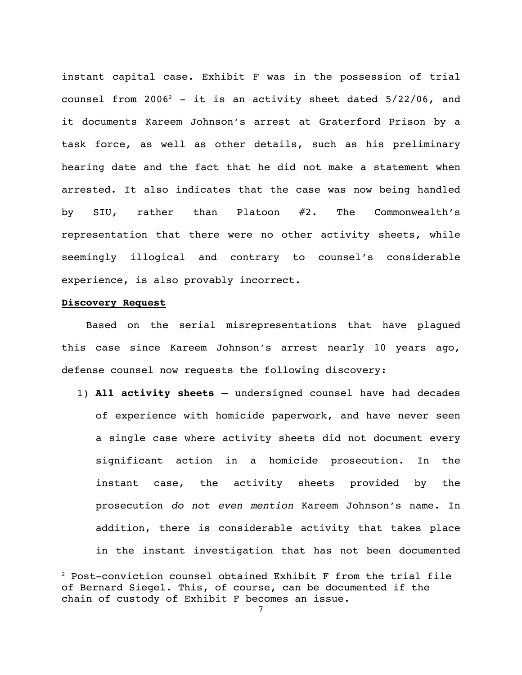instant capital case. Exhibit F was in the possession of trial counsel from  $2006^2$  - it is an activity sheet dated  $5/22/06$ , and it documents Kareem Johnson's arrest at Graterford Prison by a task force, as well as other details, such as his preliminary hearing date and the fact that he did not make a statement when arrested. It also indicates that the case was now being handled by SIU, rather than Platoon #2. The Commonwealth's representation that there were no other activity sheets, while seemingly illogical and contrary to counsel's considerable experience, is also provably incorrect.

## **Discovery Request**

 Based on the serial misrepresentations that have plagued this case since Kareem Johnson's arrest nearly 10 years ago, defense counsel now requests the following discovery:

1) **All activity sheets** – undersigned counsel have had decades of experience with homicide paperwork, and have never seen a single case where activity sheets did not document every significant action in a homicide prosecution. In the instant case, the activity sheets provided by the prosecution *do not even mention* Kareem Johnson's name. In addition, there is considerable activity that takes place in the instant investigation that has not been documented

<sup>2</sup> Post-conviction counsel obtained Exhibit F from the trial file of Bernard Siegel. This, of course, can be documented if the chain of custody of Exhibit F becomes an issue.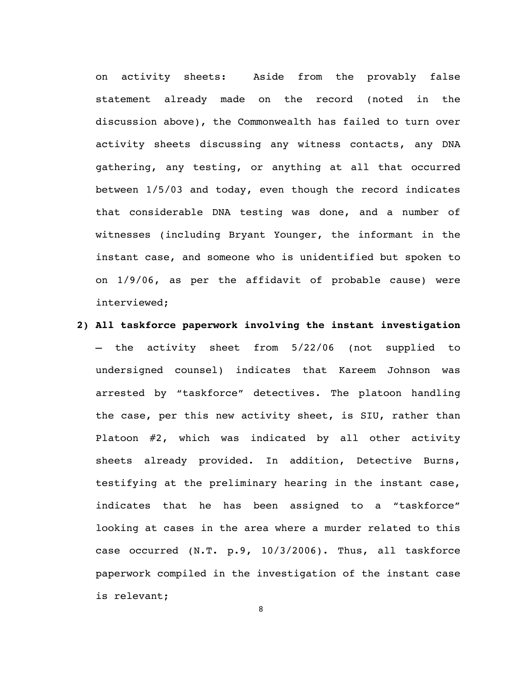on activity sheets: Aside from the provably false statement already made on the record (noted in the discussion above), the Commonwealth has failed to turn over activity sheets discussing any witness contacts, any DNA gathering, any testing, or anything at all that occurred between 1/5/03 and today, even though the record indicates that considerable DNA testing was done, and a number of witnesses (including Bryant Younger, the informant in the instant case, and someone who is unidentified but spoken to on 1/9/06, as per the affidavit of probable cause) were interviewed;

**2) All taskforce paperwork involving the instant investigation** – the activity sheet from 5/22/06 (not supplied to undersigned counsel) indicates that Kareem Johnson was arrested by "taskforce" detectives. The platoon handling the case, per this new activity sheet, is SIU, rather than Platoon #2, which was indicated by all other activity sheets already provided. In addition, Detective Burns, testifying at the preliminary hearing in the instant case, indicates that he has been assigned to a "taskforce" looking at cases in the area where a murder related to this case occurred (N.T. p.9, 10/3/2006). Thus, all taskforce paperwork compiled in the investigation of the instant case is relevant;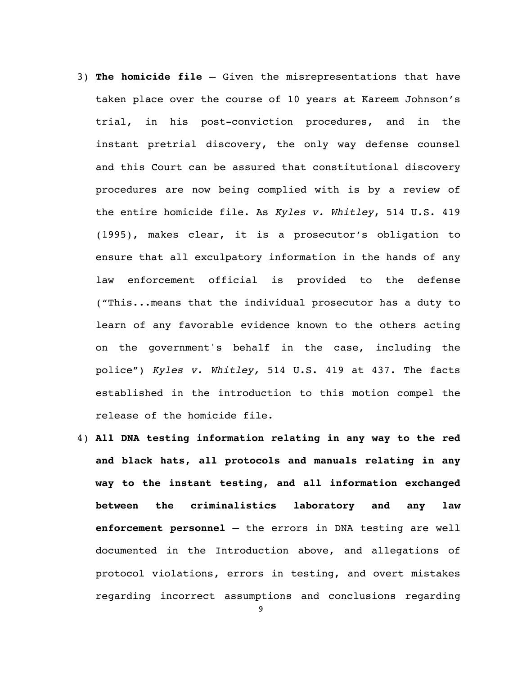- 3) **The homicide file**  Given the misrepresentations that have taken place over the course of 10 years at Kareem Johnson's trial, in his post-conviction procedures, and in the instant pretrial discovery, the only way defense counsel and this Court can be assured that constitutional discovery procedures are now being complied with is by a review of the entire homicide file. As *Kyles v. Whitley*, 514 U.S. 419 (1995), makes clear, it is a prosecutor's obligation to ensure that all exculpatory information in the hands of any law enforcement official is provided to the defense ("This...means that the individual prosecutor has a duty to learn of any favorable evidence known to the others acting on the government's behalf in the case, including the police") *Kyles v. Whitley,* 514 U.S. 419 at 437. The facts established in the introduction to this motion compel the release of the homicide file.
- 4) **All DNA testing information relating in any way to the red and black hats, all protocols and manuals relating in any way to the instant testing, and all information exchanged between the criminalistics laboratory and any law enforcement personnel –** the errors in DNA testing are well documented in the Introduction above, and allegations of protocol violations, errors in testing, and overt mistakes regarding incorrect assumptions and conclusions regarding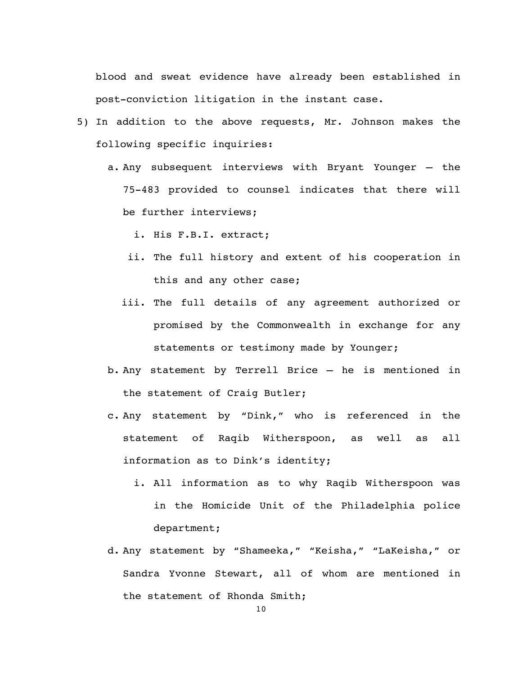blood and sweat evidence have already been established in post-conviction litigation in the instant case.

- 5) In addition to the above requests, Mr. Johnson makes the following specific inquiries:
	- a. Any subsequent interviews with Bryant Younger the 75-483 provided to counsel indicates that there will be further interviews;
		- i. His F.B.I. extract;
		- ii. The full history and extent of his cooperation in this and any other case;
		- iii. The full details of any agreement authorized or promised by the Commonwealth in exchange for any statements or testimony made by Younger;
	- b. Any statement by Terrell Brice he is mentioned in the statement of Craig Butler;
	- c. Any statement by "Dink," who is referenced in the statement of Raqib Witherspoon, as well as all information as to Dink's identity;
		- i. All information as to why Raqib Witherspoon was in the Homicide Unit of the Philadelphia police department;
	- d. Any statement by "Shameeka," "Keisha," "LaKeisha," or Sandra Yvonne Stewart, all of whom are mentioned in the statement of Rhonda Smith;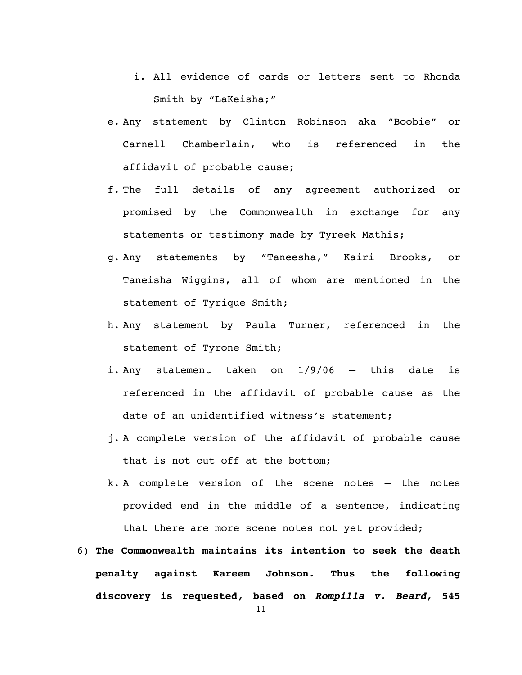- i. All evidence of cards or letters sent to Rhonda Smith by "LaKeisha;"
- e. Any statement by Clinton Robinson aka "Boobie" or Carnell Chamberlain, who is referenced in the affidavit of probable cause;
- f. The full details of any agreement authorized or promised by the Commonwealth in exchange for any statements or testimony made by Tyreek Mathis;
- g. Any statements by "Taneesha," Kairi Brooks, or Taneisha Wiggins, all of whom are mentioned in the statement of Tyrique Smith;
- h. Any statement by Paula Turner, referenced in the statement of Tyrone Smith;
- i. Any statement taken on 1/9/06 this date is referenced in the affidavit of probable cause as the date of an unidentified witness's statement;
- j. A complete version of the affidavit of probable cause that is not cut off at the bottom;
- k. A complete version of the scene notes the notes provided end in the middle of a sentence, indicating that there are more scene notes not yet provided;
- 6) **The Commonwealth maintains its intention to seek the death penalty against Kareem Johnson. Thus the following discovery is requested, based on** *Rompilla v. Beard***, 545**